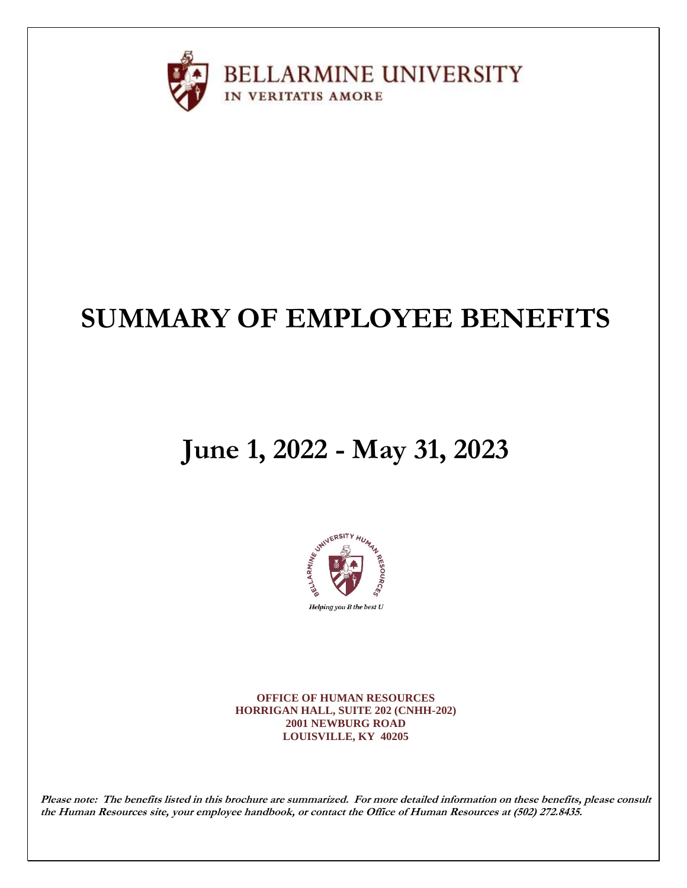

# **SUMMARY OF EMPLOYEE BENEFITS**

# **June 1, 2022 - May 31, 2023**



**OFFICE OF HUMAN RESOURCES HORRIGAN HALL, SUITE 202 (CNHH-202) 2001 NEWBURG ROAD LOUISVILLE, KY 40205**

**Please note:****The benefits listed in this brochure are summarized. For more detailed information on these benefits, please consult the Human Resources site, your employee handbook, or contact the Office of Human Resources at (502) 272.8435.**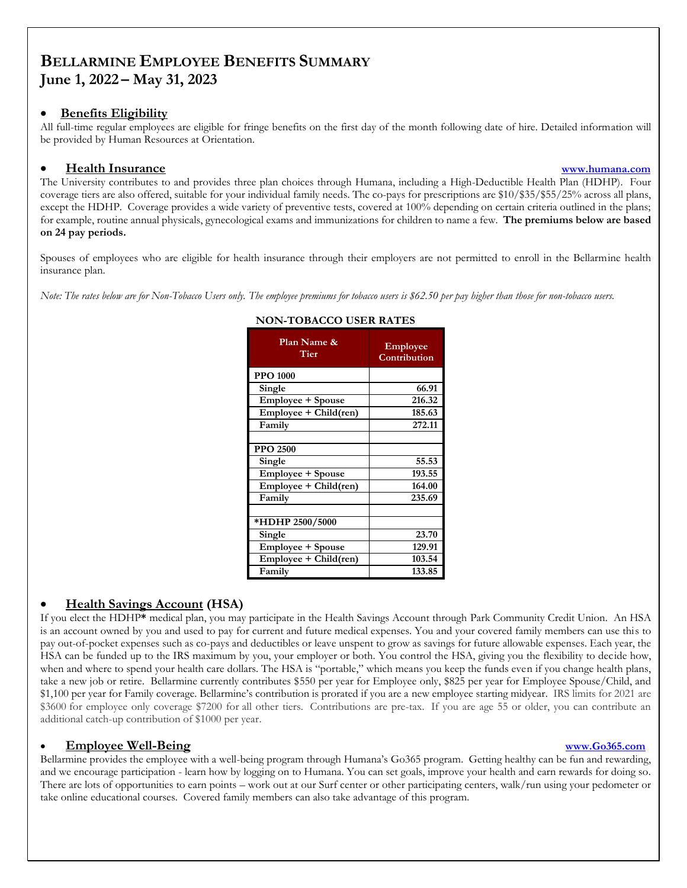# **BELLARMINE EMPLOYEE BENEFITS SUMMARY June 1, 2022 – May 31, 2023**

### • **Benefits Eligibility**

All full-time regular employees are eligible for fringe benefits on the first day of the month following date of hire. Detailed information will be provided by Human Resources at Orientation.

### • **Health Insurance [www.humana.com](http://www.humana.com/)**

The University contributes to and provides three plan choices through Humana, including a High-Deductible Health Plan (HDHP). Four coverage tiers are also offered, suitable for your individual family needs. The co-pays for prescriptions are \$10/\$35/\$55/25% across all plans, except the HDHP. Coverage provides a wide variety of preventive tests, covered at 100% depending on certain criteria outlined in the plans; for example, routine annual physicals, gynecological exams and immunizations for children to name a few. **The premiums below are based on 24 pay periods.**

Spouses of employees who are eligible for health insurance through their employers are not permitted to enroll in the Bellarmine health insurance plan.

*Note: The rates below are for Non-Tobacco Users only. The employee premiums for tobacco users is \$62.50 per pay higher than those for non-tobacco users.*

| Plan Name &<br>Tier      | Employee<br>Contribution |
|--------------------------|--------------------------|
| <b>PPO 1000</b>          |                          |
| Single                   | 66.91                    |
| Employee + Spouse        | 216.32                   |
| Employee + Child(ren)    | 185.63                   |
| Family                   | 272.11                   |
|                          |                          |
| <b>PPO 2500</b>          |                          |
| Single                   | 55.53                    |
| Employee + Spouse        | 193.55                   |
| $Employee + Child (ren)$ | 164.00                   |
| Family                   | 235.69                   |
|                          |                          |
| *HDHP 2500/5000          |                          |
| Single                   | 23.70                    |
| Employee + Spouse        | 129.91                   |
| Employee + Child(ren)    | 103.54                   |
| Family                   | 133.85                   |

### **NON-TOBACCO USER RATES**

# • **Health Savings Account (HSA)**

If you elect the HDHP**\*** medical plan, you may participate in the Health Savings Account through Park Community Credit Union. An HSA is an account owned by you and used to pay for current and future medical expenses. You and your covered family members can use this to pay out-of-pocket expenses such as co-pays and deductibles or leave unspent to grow as savings for future allowable expenses. Each year, the HSA can be funded up to the IRS maximum by you, your employer or both. You control the HSA, giving you the flexibility to decide how, when and where to spend your health care dollars. The HSA is "portable," which means you keep the funds even if you change health plans, take a new job or retire. Bellarmine currently contributes \$550 per year for Employee only, \$825 per year for Employee Spouse/Child, and \$1,100 per year for Family coverage. Bellarmine's contribution is prorated if you are a new employee starting midyear. IRS limits for 2021 are \$3600 for employee only coverage \$7200 for all other tiers. Contributions are pre-tax. If you are age 55 or older, you can contribute an additional catch-up contribution of \$1000 per year.

# • **Employee Well-Being [www.Go365.com](http://www.go365.com/)**

Bellarmine provides the employee with a well-being program through Humana's Go365 program. Getting healthy can be fun and rewarding, and we encourage participation - learn how by logging on to Humana. You can set goals, improve your health and earn rewards for doing so. There are lots of opportunities to earn points – work out at our Surf center or other participating centers, walk/run using your pedometer or take online educational courses. Covered family members can also take advantage of this program.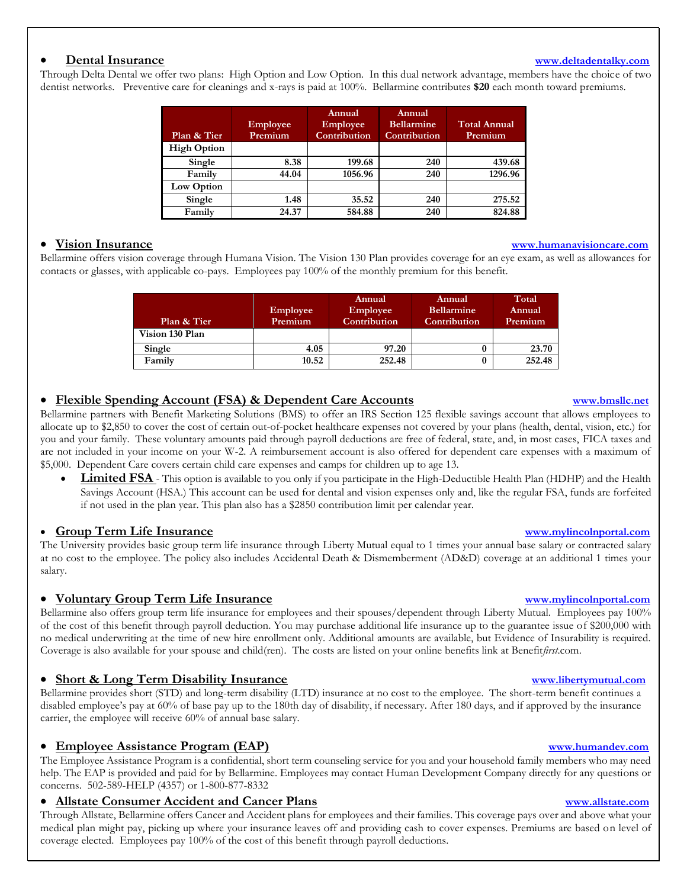### • **Dental Insurance [www.deltadentalky.com](http://www.deltadentalky.com/)**

Through Delta Dental we offer two plans: High Option and Low Option. In this dual network advantage, members have the choice of two dentist networks. Preventive care for cleanings and x-rays is paid at 100%. Bellarmine contributes **\$20** each month toward premiums.

| Plan & Tier        | <b>Employee</b><br>Premium | Annual<br><b>Employee</b><br>Contribution | Annual<br><b>Bellarmine</b><br>Contribution | <b>Total Annual</b><br>Premium |
|--------------------|----------------------------|-------------------------------------------|---------------------------------------------|--------------------------------|
| <b>High Option</b> |                            |                                           |                                             |                                |
| Single             | 8.38                       | 199.68                                    | 240                                         | 439.68                         |
| Family             | 44.04                      | 1056.96                                   | 240                                         | 1296.96                        |
| Low Option         |                            |                                           |                                             |                                |
| Single             | 1.48                       | 35.52                                     | 240                                         | 275.52                         |
| Family             | 24.37                      | 584.88                                    | 240                                         | 824.88                         |

Bellarmine offers vision coverage through Humana Vision. The Vision 130 Plan provides coverage for an eye exam, as well as allowances for contacts or glasses, with applicable co-pays. Employees pay 100% of the monthly premium for this benefit.

| Plan & Tier<br>Vision 130 Plan | <b>Employee</b><br>Premium | Annual<br>Employee<br>Contribution | Annual<br><b>Bellarmine</b><br>Contribution | Total<br>Annual<br>Premium |
|--------------------------------|----------------------------|------------------------------------|---------------------------------------------|----------------------------|
| Single                         | 4.05                       | 97.20                              |                                             | 23.70                      |
| Family                         | 10.52                      | 252.48                             |                                             | 252.48                     |

# • **Flexible Spending Account (FSA) & Dependent Care Accounts [www.bmsllc.net](http://www.bmsllc.net/)**

Bellarmine partners with Benefit Marketing Solutions (BMS) to offer an IRS Section 125 flexible savings account that allows employees to allocate up to \$2,850 to cover the cost of certain out-of-pocket healthcare expenses not covered by your plans (health, dental, vision, etc.) for you and your family. These voluntary amounts paid through payroll deductions are free of federal, state, and, in most cases, FICA taxes and are not included in your income on your W-2. A reimbursement account is also offered for dependent care expenses with a maximum of \$5,000. Dependent Care covers certain child care expenses and camps for children up to age 13.

**Limited FSA** - This option is available to you only if you participate in the High-Deductible Health Plan (HDHP) and the Health Savings Account (HSA.) This account can be used for dental and vision expenses only and, like the regular FSA, funds are forfeited if not used in the plan year. This plan also has a \$2850 contribution limit per calendar year.

### • **Group Term Life Insurance [www.mylincolnportal.com](file://///bufs-deptshare/HR/My%20Documents/Benefits/Benefits,%202021-22/BENEFITS%20BOOK/www.mylincolnportal.com)**

The University provides basic group term life insurance through Liberty Mutual equal to 1 times your annual base salary or contracted salary at no cost to the employee. The policy also includes Accidental Death & Dismemberment (AD&D) coverage at an additional 1 times your salary.

### • **Voluntary Group Term Life Insurance [www.mylincolnportal.com](file://///bufs-deptshare/HR/My%20Documents/Benefits/Benefits,%202020-21/www.mylincolnportal.com)**

Bellarmine also offers group term life insurance for employees and their spouses/dependent through Liberty Mutual. Employees pay 100% of the cost of this benefit through payroll deduction. You may purchase additional life insurance up to the guarantee issue of \$200,000 with no medical underwriting at the time of new hire enrollment only. Additional amounts are available, but Evidence of Insurability is required. Coverage is also available for your spouse and child(ren). The costs are listed on your online benefits link at Benefit*first*.com.

### • **Short & Long Term Disability Insurance [www.libertymutual.com](http://www.libertymutual.com/)**

Bellarmine provides short (STD) and long-term disability (LTD) insurance at no cost to the employee. The short-term benefit continues a disabled employee's pay at 60% of base pay up to the 180th day of disability, if necessary. After 180 days, and if approved by the insurance carrier, the employee will receive 60% of annual base salary.

### • **Employee Assistance Program (EAP) [www.humandev.com](http://www.humandev.com/)**

The Employee Assistance Program is a confidential, short term counseling service for you and your household family members who may need help. The EAP is provided and paid for by Bellarmine. Employees may contact Human Development Company directly for any questions or concerns. 502-589-HELP (4357) or 1-800-877-8332

# • **Allstate Consumer Accident and Cancer Plans [www.allstate.com](http://www.allstate.com/)**

Through Allstate, Bellarmine offers Cancer and Accident plans for employees and their families. This coverage pays over and above what your medical plan might pay, picking up where your insurance leaves off and providing cash to cover expenses. Premiums are based on level of coverage elected. Employees pay 100% of the cost of this benefit through payroll deductions.

### • **Vision Insurance [www.humanavisioncare.com](http://www.humanavisioncare.com/)**